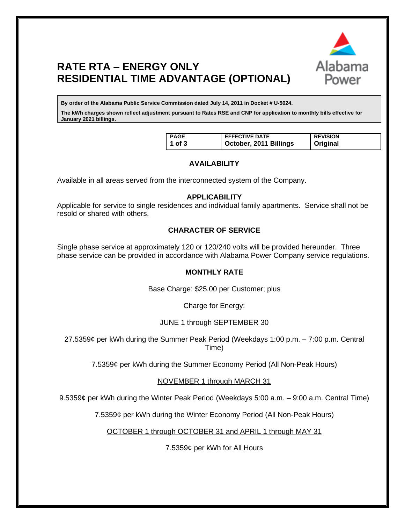

# **RATE RTA – ENERGY ONLY RESIDENTIAL TIME ADVANTAGE (OPTIONAL)**

**By order of the Alabama Public Service Commission dated July 14, 2011 in Docket # U-5024.**

**The kWh charges shown reflect adjustment pursuant to Rates RSE and CNP for application to monthly bills effective for January 2021 billings.**

| <b>PAGE</b> | <b>EFFECTIVE DATE</b>  | <b>REVISION</b> |
|-------------|------------------------|-----------------|
| 1 of $3$    | October, 2011 Billings | <b>Original</b> |

# **AVAILABILITY**

Available in all areas served from the interconnected system of the Company.

#### **APPLICABILITY**

Applicable for service to single residences and individual family apartments. Service shall not be resold or shared with others.

## **CHARACTER OF SERVICE**

Single phase service at approximately 120 or 120/240 volts will be provided hereunder. Three phase service can be provided in accordance with Alabama Power Company service regulations.

#### **MONTHLY RATE**

Base Charge: \$25.00 per Customer; plus

Charge for Energy:

## JUNE 1 through SEPTEMBER 30

27.5359¢ per kWh during the Summer Peak Period (Weekdays 1:00 p.m. – 7:00 p.m. Central Time)

7.5359¢ per kWh during the Summer Economy Period (All Non-Peak Hours)

NOVEMBER 1 through MARCH 31

9.5359¢ per kWh during the Winter Peak Period (Weekdays 5:00 a.m. – 9:00 a.m. Central Time)

7.5359¢ per kWh during the Winter Economy Period (All Non-Peak Hours)

OCTOBER 1 through OCTOBER 31 and APRIL 1 through MAY 31

7.5359¢ per kWh for All Hours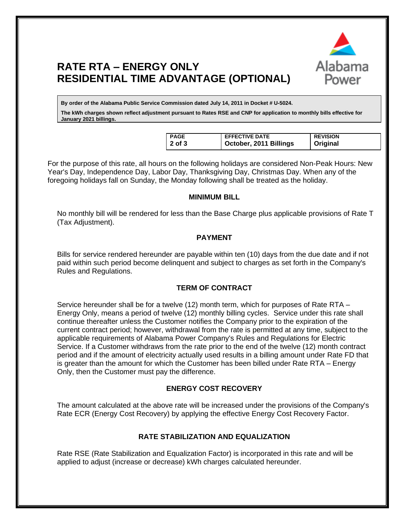

# **RATE RTA – ENERGY ONLY RESIDENTIAL TIME ADVANTAGE (OPTIONAL)**

**By order of the Alabama Public Service Commission dated July 14, 2011 in Docket # U-5024.**

**The kWh charges shown reflect adjustment pursuant to Rates RSE and CNP for application to monthly bills effective for January 2021 billings.**

| PAGE           | <b>EFFECTIVE DATE</b>  | <b>REVISION</b> |
|----------------|------------------------|-----------------|
| $\vert$ 2 of 3 | October, 2011 Billings | Original        |

For the purpose of this rate, all hours on the following holidays are considered Non-Peak Hours: New Year's Day, Independence Day, Labor Day, Thanksgiving Day, Christmas Day. When any of the foregoing holidays fall on Sunday, the Monday following shall be treated as the holiday.

## **MINIMUM BILL**

No monthly bill will be rendered for less than the Base Charge plus applicable provisions of Rate T (Tax Adjustment).

# **PAYMENT**

Bills for service rendered hereunder are payable within ten (10) days from the due date and if not paid within such period become delinquent and subject to charges as set forth in the Company's Rules and Regulations.

## **TERM OF CONTRACT**

Service hereunder shall be for a twelve (12) month term, which for purposes of Rate RTA – Energy Only, means a period of twelve (12) monthly billing cycles. Service under this rate shall continue thereafter unless the Customer notifies the Company prior to the expiration of the current contract period; however, withdrawal from the rate is permitted at any time, subject to the applicable requirements of Alabama Power Company's Rules and Regulations for Electric Service. If a Customer withdraws from the rate prior to the end of the twelve (12) month contract period and if the amount of electricity actually used results in a billing amount under Rate FD that is greater than the amount for which the Customer has been billed under Rate RTA – Energy Only, then the Customer must pay the difference.

## **ENERGY COST RECOVERY**

The amount calculated at the above rate will be increased under the provisions of the Company's Rate ECR (Energy Cost Recovery) by applying the effective Energy Cost Recovery Factor.

## **RATE STABILIZATION AND EQUALIZATION**

Rate RSE (Rate Stabilization and Equalization Factor) is incorporated in this rate and will be applied to adjust (increase or decrease) kWh charges calculated hereunder.